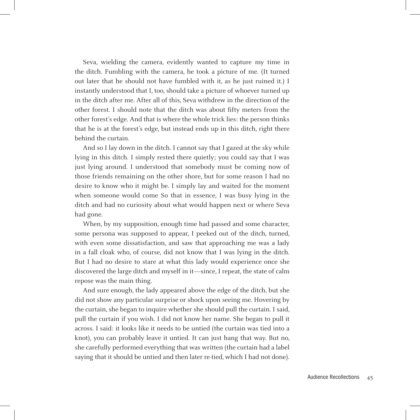Seva, wielding the camera, evidently wanted to capture my time in the ditch. Fumbling with the camera, he took a picture of me. (It turned out later that he should not have fumbled with it, as he just ruined it.) I instantly understood that I, too, should take a picture of whoever turned up in the ditch after me. After all of this, Seva withdrew in the direction of the other forest. I should note that the ditch was about fifty meters from the other forest's edge. And that is where the whole trick lies: the person thinks that he is at the forest's edge, but instead ends up in this ditch, right there behind the curtain.

And so I lay down in the ditch. I cannot say that I gazed at the sky while lying in this ditch. I simply rested there quietly; you could say that I was just lying around. I understood that somebody must be coming now of those friends remaining on the other shore, but for some reason I had no desire to know who it might be. I simply lay and waited for the moment when someone would come So that in essence, I was busy lying in the ditch and had no curiosity about what would happen next or where Seva had gone.

When, by my supposition, enough time had passed and some character, some persona was supposed to appear, I peeked out of the ditch, turned, with even some dissatisfaction, and saw that approaching me was a lady in a fall cloak who, of course, did not know that I was lying in the ditch. But I had no desire to stare at what this lady would experience once she discovered the large ditch and myself in it—since, I repeat, the state of calm repose was the main thing.

And sure enough, the lady appeared above the edge of the ditch, but she did not show any particular surprise or shock upon seeing me. Hovering by the curtain, she began to inquire whether she should pull the curtain. I said, pull the curtain if you wish. I did not know her name. She began to pull it across. I said: it looks like it needs to be untied (the curtain was tied into a knot), you can probably leave it untied. It can just hang that way. But no, she carefully performed everything that was written (the curtain had a label saying that it should be untied and then later re-tied, which I had not done).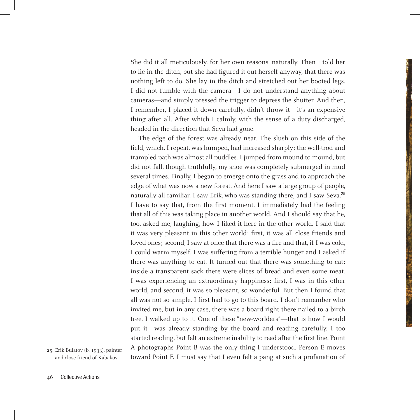She did it all meticulously, for her own reasons, naturally. Then I told her to lie in the ditch, but she had figured it out herself anyway, that there was nothing left to do. She lay in the ditch and stretched out her booted legs. I did not fumble with the camera—I do not understand anything about cameras—and simply pressed the trigger to depress the shutter. And then, I remember, I placed it down carefully, didn't throw it—it's an expensive thing after all. After which I calmly, with the sense of a duty discharged, headed in the direction that Seva had gone.

The edge of the forest was already near. The slush on this side of the field, which, I repeat, was humped, had increased sharply; the well-trod and trampled path was almost all puddles. I jumped from mound to mound, but did not fall, though truthfully, my shoe was completely submerged in mud several times. Finally, I began to emerge onto the grass and to approach the edge of what was now a new forest. And here I saw a large group of people, naturally all familiar. I saw Erik, who was standing there, and I saw Seva.<sup>25</sup> I have to say that, from the first moment, I immediately had the feeling that all of this was taking place in another world. And I should say that he, too, asked me, laughing, how I liked it here in the other world. I said that it was very pleasant in this other world: first, it was all close friends and loved ones; second, I saw at once that there was a fire and that, if I was cold, I could warm myself. I was suffering from a terrible hunger and I asked if there was anything to eat. It turned out that there was something to eat: inside a transparent sack there were slices of bread and even some meat. I was experiencing an extraordinary happiness: first, I was in this other world, and second, it was so pleasant, so wonderful. But then I found that all was not so simple. I first had to go to this board. I don't remember who invited me, but in any case, there was a board right there nailed to a birch tree. I walked up to it. One of these "new-worlders"—that is how I would put it—was already standing by the board and reading carefully. I too started reading, but felt an extreme inability to read after the first line. Point A photographs Point B was the only thing I understood. Person E moves toward Point F. I must say that I even felt a pang at such a profanation of

25. Erik Bulatov (b. 1933), painter and close friend of Kabakov.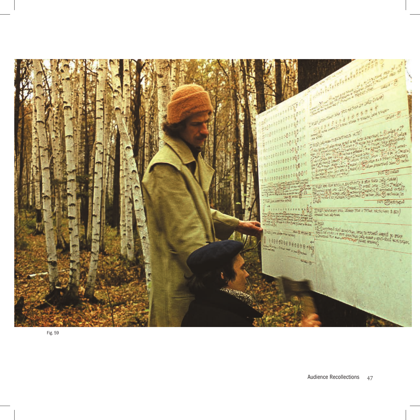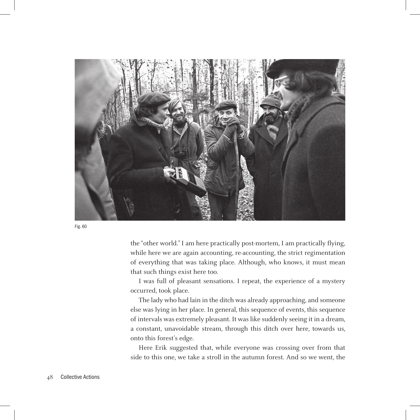

Fig. 60

the "other world." I am here practically post-mortem, I am practically flying, while here we are again accounting, re-accounting, the strict regimentation of everything that was taking place. Although, who knows, it must mean that such things exist here too.

I was full of pleasant sensations. I repeat, the experience of a mystery occurred, took place.

The lady who had lain in the ditch was already approaching, and someone else was lying in her place. In general, this sequence of events, this sequence of intervals was extremely pleasant. It was like suddenly seeing it in a dream, a constant, unavoidable stream, through this ditch over here, towards us, onto this forest's edge.

Here Erik suggested that, while everyone was crossing over from that side to this one, we take a stroll in the autumn forest. And so we went, the